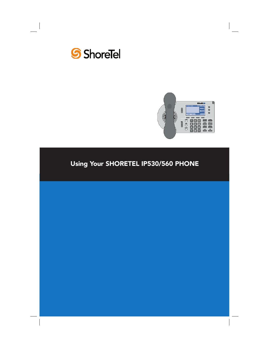



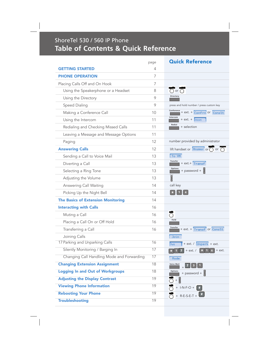# ShoreTel 530 / 560 IP Phone **Table of Contents & Quick Reference**

|                                            | page | <b>Quick Reference</b>                                                                                      |
|--------------------------------------------|------|-------------------------------------------------------------------------------------------------------------|
| <b>GETTING STARTED</b>                     | 4    |                                                                                                             |
| <b>PHONE OPERATION</b>                     | 7    |                                                                                                             |
| Placing Calls Off and On Hook              | 7    |                                                                                                             |
| Using the Speakerphone or a Headset        | 8    | ਨਿ∝ਨ                                                                                                        |
| Using the Directory                        | 9    | Directory                                                                                                   |
| Speed Dialing                              | 9    | press and hold number / press custom key                                                                    |
| Making a Conference Call                   | 10   | $\frac{\text{Conference}}{\text{I}} + \text{ext.} + \overline{\text{Confrn}}$ or $\overline{\text{Constr}}$ |
| Using the Intercom                         | 11   | Intercom<br>$+ ext. +$ Introm                                                                               |
| Redialing and Checking Missed Calls        | 11   | Redial<br>+ selection                                                                                       |
| Leaving a Message and Message Options      | 11   |                                                                                                             |
| Paging                                     | 12   | number provided by administrator                                                                            |
| <b>Answering Calls</b>                     | 12   | lift handset or $\boxed{\text{Answer}}$ or $\boxed{\bigcirc}$ or $\boxed{\bigcirc}$                         |
| Sending a Call to Voice Mail               | 13   | To VM                                                                                                       |
| Diverting a Call                           | 13   | Transfer<br>+ ext.+ Transf                                                                                  |
| Selecting a Ring Tone                      | 13   | Options<br>+ password +                                                                                     |
| Adjusting the Volume                       | 13   |                                                                                                             |
| Answering Call Waiting                     | 14   | call key                                                                                                    |
| Picking Up the Night Bell                  | 14   | $\sqrt{4}$                                                                                                  |
| <b>The Basics of Extension Monitoring</b>  | 14   |                                                                                                             |
| <b>Interacting with Calls</b>              | 16   |                                                                                                             |
| Muting a Call                              | 16   | ਨ                                                                                                           |
| Placing a Call On or Off Hold              | 16   | Hold                                                                                                        |
| Transferring a Call                        | 16   | Transfer<br>+ ext. + Transf or Conslt                                                                       |
| Joining Calls                              |      | Join                                                                                                        |
| 17 Parking and Unparking Calls             | 16   | $+$ ext. / $\boxed{\text{Unpark}}$ + ext.<br>Park                                                           |
| Silently Monitoring / Barging In           | 17   | $+$ ext. $/$<br>$6-1$<br>$\vert * \vert 1$<br>$+$ ext.                                                      |
| Changing Call Handling Mode and Forwarding | 17   | Mode                                                                                                        |
| <b>Changing Extension Assignment</b>       | 18   | <b>Voice Mail</b><br>$\overline{\mathbf{3}}$<br>$\vert$ 1                                                   |
| <b>Logging In and Out of Workgroups</b>    | 18   | Options<br>+ password +                                                                                     |
| <b>Adjusting the Display Contrast</b>      | 19   | $^{+}$                                                                                                      |
| <b>Viewing Phone Information</b>           | 19   | + I-N-F-O + $\Box$                                                                                          |
| <b>Rebooting Your Phone</b>                | 19   | $+$ R-E-S-E-T +                                                                                             |
| <b>Troubleshooting</b>                     | 19   |                                                                                                             |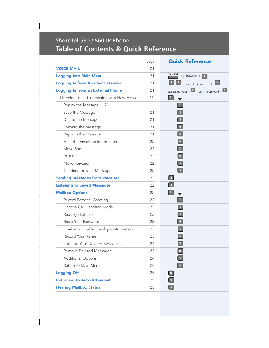# ShoreTel 530 / 560 IP Phone **Table of Contents & Quick Reference**

|                                                | page | <b>Quick Reference</b>                                                        |
|------------------------------------------------|------|-------------------------------------------------------------------------------|
| <b>VOICE MAIL</b>                              | 21   |                                                                               |
| <b>Logging Into Main Menu</b>                  | 21   | <b>Voice Mail</b><br>+ password +<br>#                                        |
| <b>Logging In from Another Extension</b>       | 21   | $+$ ext. $+$ password $+$<br>#                                                |
| <b>Logging In from an External Phone</b>       | 21   | $\frac{1}{2}$ access number + $\frac{1}{2}$ + ext. + password + $\frac{1}{2}$ |
| Listening to and Interacting with New Messages | 21   | ш                                                                             |
| Replay the Message<br>21                       |      | $\mathbf{1}$                                                                  |
| Save the Message                               | 21   | $\overline{2}$                                                                |
| Delete the Message                             | 21   | $\overline{\phantom{a}}$                                                      |
| Forward the Message                            | 21   | $\overline{a}$                                                                |
| Reply to the Message                           | 21   | 5                                                                             |
| Hear the Envelope Information                  | 22   | 6 <sub>1</sub>                                                                |
| Move Back                                      | 22   | $\overline{1}$                                                                |
| Pause                                          | 22   | $\bf{8}$                                                                      |
| Move Forward                                   | 22   | $\,$ 9 $\,$                                                                   |
| Continue to Next Message                       | 22   | $\bullet$                                                                     |
| <b>Sending Messages from Voice Mail</b>        | 22   | $\vert$ 2                                                                     |
| <b>Listening to Saved Messages</b>             | 22   | $\overline{\mathbf{3}}$                                                       |
| <b>Mailbox Options</b>                         | 22   | $\overline{7}$                                                                |
| Record Personal Greeting                       | 22   | п                                                                             |
| Choose Call Handling Mode                      | 23   | $\overline{2}$                                                                |
| Reassign Extension                             | 23   | 3                                                                             |
| Reset Your Password                            | 23   | А                                                                             |
| Disable or Enable Envelope Information         | 23   | 5                                                                             |
| Record Your Name                               | 23   | $6 \,$                                                                        |
| Listen to Your Deleted Messages                | 24   | 7                                                                             |
| Remove Deleted Messages                        | 24   | $\mathbf{8}$                                                                  |
| <b>Additional Options</b>                      | 24   | $\bullet$                                                                     |
| Return to Main Menu                            | 24   | $\star$                                                                       |
| <b>Logging Off</b>                             | 25   | $\bullet$                                                                     |
| <b>Returning to Auto-Attendant</b>             | 25   | $\bullet$                                                                     |
| <b>Hearing Mailbox Status</b>                  | 25   | $\left\lfloor \frac{a}{b} \right\rfloor$                                      |
|                                                |      |                                                                               |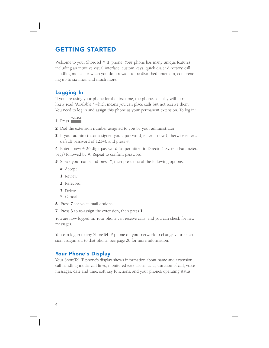### GETTING STARTED

Welcome to your ShoreTel™ IP phone! Your phone has many unique features, including an intuitive visual interface, custom keys, quick dialer directory, call handling modes for when you do not want to be disturbed, intercom, conferencing up to six lines, and much more.

### Logging In

If you are using your phone for the first time, the phone's display will most likely read "Available," which means you can place calls but not receive them. You need to log in and assign this phone as your permanent extension. To log in:

1 Press **Voice Mail** .

- 2 Dial the extension number assigned to you by your administrator.
- 3 If your administrator assigned you a password, enter it now (otherwise enter a default password of 1234), and press #.

4 Enter a new 4-26 digit password (as permitted in Director's System Parameters page) followed by #. Repeat to confirm password.

- 5 Speak your name and press #, then press one of the following options:
	- # Accept
	- 1 Review
	- 2 Rerecord
	- 3 Delete
	- \* Cancel
- 6 Press 7 for voice mail options.
- 7 Press 3 to re-assign the extension, then press 1.

You are now logged in. Your phone can receive calls, and you can check for new messages.

You can log in to any ShoreTel IP phone on your network to change your extension assignment to that phone. See page 20 for more information.

### Your Phone's Display

Your ShoreTel IP phone's display shows information about name and extension, call handling mode, call lines, monitored extensions, calls, duration of call, voice messages, date and time, soft key functions, and your phone's operating status.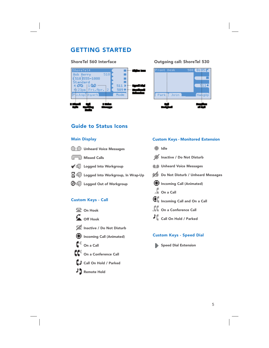### GETTING STARTED



### ShoreTel 560 Interface Cutgoing call: ShoreTel 530



Custom Keys - Monitored Extension

### Guide to Status Icons

### Main Display



### Custom Keys - Speed Dial

- Speed Dial Extension
- Inactive / Do Not Disturb **Incoming Call (Animated)** On a Call Call On Hold / Parked

# Ĕ۹ On a Conference Call

- 
- Remote Hold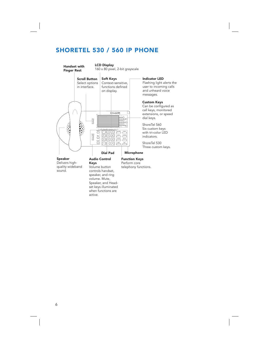## SHORETEL 530 / 560 IP PHONE



when functions are

active.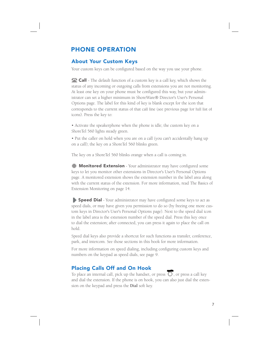### PHONE OPERATION

### About Your Custom Keys

Your custom keys can be configured based on the way you use your phone.

corresponds to the current status of that call line (see previous page for full list of icons). Press the key to: **Call** - The default function of a custom key is a call key, which shows the status of any incoming or outgoing calls from extensions you are not monitoring. At least one key on your phone must be configured this way, but your administrator can set a higher minimum in ShoreWare® Director's User's Personal Options page. The label for this kind of key is blank except for the icon that

• Activate the speakerphone when the phone is idle; the custom key on a ShoreTel 560 lights steady green.

• Put the caller on hold when you are on a call (you can't accidentally hang up on a call); the key on a ShoreTel 560 blinks green.

The key on a ShoreTel 560 blinks orange when a call is coming in.

**Monitored Extension** - Your administrator may have configured some keys to let you monitor other extensions in Director's User's Personal Options page. A monitored extension shows the extension number in the label area along with the current status of the extension. For more information, read The Basics of Extension Monitoring on page 14.

Speed Dial *-* Your administrator may have configured some keys to act as speed dials, or may have given you permission to do so (by freeing one more custom keys in Director's User's Personal Options page). Next to the speed dial icon in the label area is the extension number of the speed dial. Press this key once to dial the extension; after connected, you can press it again to place the call on hold.

Speed dial keys also provide a shortcut for such functions as transfer, conference, park, and intercom. See those sections in this book for more information.

For more information on speed dialing, including configuring custom keys and numbers on the keypad as speed dials, see page 9.

### Placing Calls Off and On Hook

To place an internal call, pick up the handset, or press  $\overline{O}$ , or press a call key and dial the extension. If the phone is on hook, you can also just dial the extension on the keypad and press the **Dial** soft key.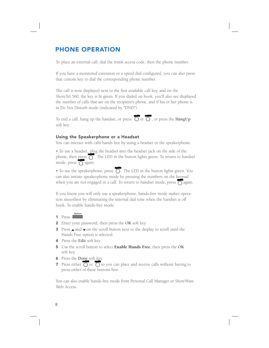### PHONE OPERATION

To place an external call, dial the trunk access code, then the phone number.

If you have a monitored extension or a speed dial configured, you can also press that custom key to dial the corresponding phone number.

The call is now displayed next to the first available call key, and on the ShoreTel 560, the key is lit green. If you dialed on hook, you'll also see displayed the number of calls that are on the recipient's phone, and if his or her phone is in Do Not Disturb mode (indicated by "DND").

To end a call, hang up the handset, or press  $\overline{O}$  or  $\overline{O}$ , or press the **HangUp** soft key.

### Using the Speakerphone or a Headset

You can interact with calls hands free by using a headset or the speakerphone.

• To use a headset, plug the headset into the headset jack on the side of the phone, then press  $\overline{O}$ . The LED in the button lights green. To return to handset mode, press  $\overline{\bigcap}$  again.

• To use the speakerphone, press  $\overline{O}$ . The LED in the button lights green. You can also initiate speakerphone mode by pressing the numbers on the keypad when you are not engaged in a call. To return to handset mode, press  $\overline{O}$  again.

If you know you will only use a speakerphone, hands-free mode makes operation smoothest by eliminating the internal dial tone when the handset is off hook. To enable hands-free mode:

- 1 Press **Details**
- 2 Enter your password, then press the **OK** soft key.
- 3 Press  $\triangle$  and  $\blacktriangledown$  on the scroll button next to the display to scroll until the Hands Free option is selected.
- 4 Press the **Edit** soft key.

.

- 5 Use the scroll button to select Enable Hands Free, then press the **OK** soft key.
- 6 Press the **Done** soft key.
- **7** Press either  $\overline{O}$  or  $\overline{O}$  so you can place and receive calls without having to press either of these buttons first.

You can also enable hands-free mode from Personal Call Manager or ShoreWare Web Access.